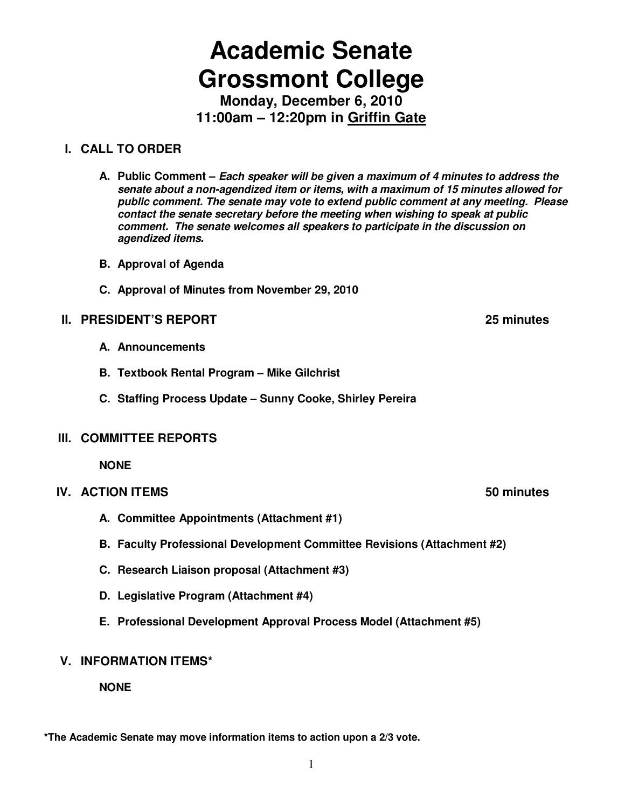# **Academic Senate Grossmont College**

**Monday, December 6, 2010 11:00am – 12:20pm in Griffin Gate**

#### **I. CALL TO ORDER**

- **A. Public Comment Each speaker will be given a maximum of 4 minutes to address the senate about a non-agendized item or items, with a maximum of 15 minutes allowed for public comment. The senate may vote to extend public comment at any meeting. Please contact the senate secretary before the meeting when wishing to speak at public comment. The senate welcomes all speakers to participate in the discussion on agendized items.**
- **B. Approval of Agenda**
- **C. Approval of Minutes from November 29, 2010**

#### **II. PRESIDENT'S REPORT 25 minutes**

- **A. Announcements**
- **B. Textbook Rental Program Mike Gilchrist**
- **C. Staffing Process Update Sunny Cooke, Shirley Pereira**

#### **III. COMMITTEE REPORTS**

**NONE** 

- **IV. ACTION ITEMS** 60 minutes
	- **A. Committee Appointments (Attachment #1)**
	- **B. Faculty Professional Development Committee Revisions (Attachment #2)**
	- **C. Research Liaison proposal (Attachment #3)**
	- **D. Legislative Program (Attachment #4)**
	- **E. Professional Development Approval Process Model (Attachment #5)**

#### **V. INFORMATION ITEMS\***

**NONE** 

**\*The Academic Senate may move information items to action upon a 2/3 vote.** 

1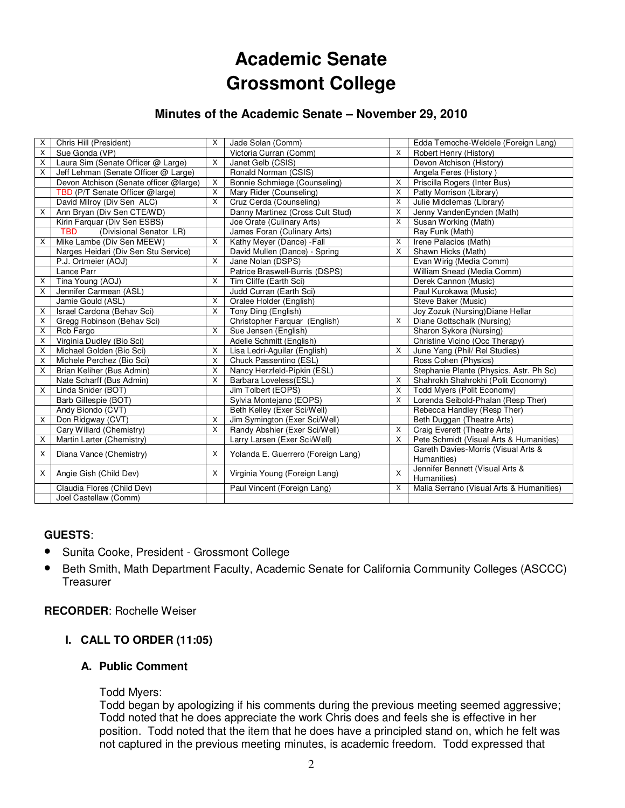## **Academic Senate Grossmont College**

#### **Minutes of the Academic Senate – November 29, 2010**

| X                       | Chris Hill (President)                 | X              | Jade Solan (Comm)                  |   | Edda Temoche-Weldele (Foreign Lang)                |
|-------------------------|----------------------------------------|----------------|------------------------------------|---|----------------------------------------------------|
| X                       | Sue Gonda (VP)                         |                | Victoria Curran (Comm)             | X | Robert Henry (History)                             |
| $\overline{\mathsf{x}}$ | Laura Sim (Senate Officer @ Large)     | X              | Janet Gelb (CSIS)                  |   | Devon Atchison (History)                           |
| X                       | Jeff Lehman (Senate Officer @ Large)   |                | Ronald Norman (CSIS)               |   | Angela Feres (History)                             |
|                         | Devon Atchison (Senate officer @large) | $\mathsf{x}$   | Bonnie Schmiege (Counseling)       | X | Priscilla Rogers (Inter Bus)                       |
|                         | TBD (P/T Senate Officer @large)        | $\times$       | Mary Rider (Counseling)            | X | Patty Morrison (Library)                           |
|                         | David Milroy (Div Sen ALC)             | X              | Cruz Cerda (Counseling)            | X | Julie Middlemas (Library)                          |
| $\mathsf{x}$            | Ann Bryan (Div Sen CTE/WD)             |                | Danny Martinez (Cross Cult Stud)   | X | Jenny VandenEynden (Math)                          |
|                         | Kirin Farquar (Div Sen ESBS)           |                | Joe Orate (Culinary Arts)          | X | Susan Working (Math)                               |
|                         | (Divisional Senator LR)<br><b>TBD</b>  |                | James Foran (Culinary Arts)        |   | Ray Funk (Math)                                    |
| X                       | Mike Lambe (Div Sen MEEW)              | $\overline{X}$ | Kathy Meyer (Dance) - Fall         | X | Irene Palacios (Math)                              |
|                         | Narges Heidari (Div Sen Stu Service)   |                | David Mullen (Dance) - Spring      | X | Shawn Hicks (Math)                                 |
|                         | P.J. Ortmeier (AOJ)                    | $\overline{X}$ | Jane Nolan (DSPS)                  |   | Evan Wirig (Media Comm)                            |
|                         | Lance Parr                             |                | Patrice Braswell-Burris (DSPS)     |   | William Snead (Media Comm)                         |
| X                       | Tina Young (AOJ)                       | $\mathsf{X}$   | Tim Cliffe (Earth Sci)             |   | Derek Cannon (Music)                               |
| X                       | Jennifer Carmean (ASL)                 |                | Judd Curran (Earth Sci)            |   | Paul Kurokawa (Music)                              |
|                         | Jamie Gould (ASL)                      | $\mathsf{X}$   | Oralee Holder (English)            |   | Steve Baker (Music)                                |
| X                       | Israel Cardona (Behav Sci)             | $\times$       | Tony Ding (English)                |   | Joy Zozuk (Nursing) Diane Hellar                   |
| X                       | Gregg Robinson (Behav Sci)             |                | Christopher Farquar (English)      | X | Diane Gottschalk (Nursing)                         |
| X                       | Rob Fargo                              | $\mathsf{X}$   | Sue Jensen (English)               |   | Sharon Sykora (Nursing)                            |
| X                       | Virginia Dudley (Bio Sci)              |                | Adelle Schmitt (English)           |   | Christine Vicino (Occ Therapy)                     |
| X                       | Michael Golden (Bio Sci)               | $\mathsf{X}$   | Lisa Ledri-Aguilar (English)       | X | June Yang (Phil/ Rel Studies)                      |
| X                       | Michele Perchez (Bio Sci)              | $\mathsf{X}$   | Chuck Passentino (ESL)             |   | Ross Cohen (Physics)                               |
| X                       | Brian Keliher (Bus Admin)              | X              | Nancy Herzfeld-Pipkin (ESL)        |   | Stephanie Plante (Physics, Astr. Ph Sc)            |
|                         | Nate Scharff (Bus Admin)               | $\mathsf{X}$   | Barbara Loveless(ESL)              | X | Shahrokh Shahrokhi (Polit Economy)                 |
| X                       | Linda Snider (BOT)                     |                | Jim Tolbert (EOPS)                 | X | Todd Myers (Polit Economy)                         |
|                         | Barb Gillespie (BOT)                   |                | Sylvia Montejano (EOPS)            | X | Lorenda Seibold-Phalan (Resp Ther)                 |
|                         | Andy Biondo (CVT)                      |                | Beth Kelley (Exer Sci/Well)        |   | Rebecca Handley (Resp Ther)                        |
| X                       | Don Ridgway (CVT)                      | X              | Jim Symington (Exer Sci/Well)      |   | Beth Duggan (Theatre Arts)                         |
|                         | Cary Willard (Chemistry)               | X              | Randy Abshier (Exer Sci/Well)      | X | Craig Everett (Theatre Arts)                       |
| X                       | Martin Larter (Chemistry)              |                | Larry Larsen (Exer Sci/Well)       | X | Pete Schmidt (Visual Arts & Humanities)            |
| X                       | Diana Vance (Chemistry)                | X              | Yolanda E. Guerrero (Foreign Lang) |   | Gareth Davies-Morris (Visual Arts &<br>Humanities) |
| $\mathsf{x}$            | Angie Gish (Child Dev)                 | X              | Virginia Young (Foreign Lang)      | X | Jennifer Bennett (Visual Arts &<br>Humanities)     |
|                         | Claudia Flores (Child Dev)             |                | Paul Vincent (Foreign Lang)        | X | Malia Serrano (Visual Arts & Humanities)           |
|                         | Joel Castellaw (Comm)                  |                |                                    |   |                                                    |

#### **GUESTS**:

- Sunita Cooke, President Grossmont College
- Beth Smith, Math Department Faculty, Academic Senate for California Community Colleges (ASCCC) **Treasurer**

**RECORDER**: Rochelle Weiser

#### **I. CALL TO ORDER (11:05)**

#### **A. Public Comment**

#### Todd Myers:

Todd began by apologizing if his comments during the previous meeting seemed aggressive; Todd noted that he does appreciate the work Chris does and feels she is effective in her position. Todd noted that the item that he does have a principled stand on, which he felt was not captured in the previous meeting minutes, is academic freedom. Todd expressed that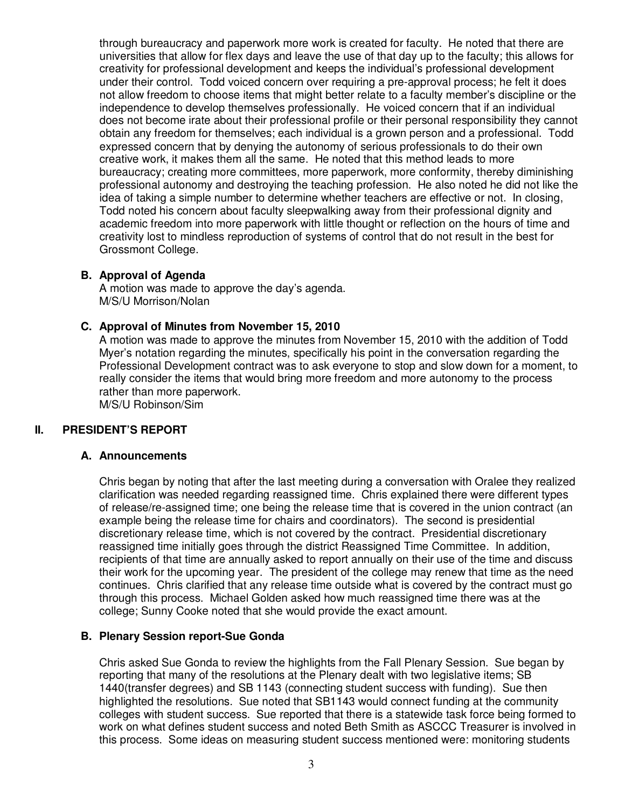through bureaucracy and paperwork more work is created for faculty. He noted that there are universities that allow for flex days and leave the use of that day up to the faculty; this allows for creativity for professional development and keeps the individual's professional development under their control. Todd voiced concern over requiring a pre-approval process; he felt it does not allow freedom to choose items that might better relate to a faculty member's discipline or the independence to develop themselves professionally. He voiced concern that if an individual does not become irate about their professional profile or their personal responsibility they cannot obtain any freedom for themselves; each individual is a grown person and a professional. Todd expressed concern that by denying the autonomy of serious professionals to do their own creative work, it makes them all the same. He noted that this method leads to more bureaucracy; creating more committees, more paperwork, more conformity, thereby diminishing professional autonomy and destroying the teaching profession. He also noted he did not like the idea of taking a simple number to determine whether teachers are effective or not. In closing, Todd noted his concern about faculty sleepwalking away from their professional dignity and academic freedom into more paperwork with little thought or reflection on the hours of time and creativity lost to mindless reproduction of systems of control that do not result in the best for Grossmont College.

#### **B. Approval of Agenda**

A motion was made to approve the day's agenda. M/S/U Morrison/Nolan

#### **C. Approval of Minutes from November 15, 2010**

A motion was made to approve the minutes from November 15, 2010 with the addition of Todd Myer's notation regarding the minutes, specifically his point in the conversation regarding the Professional Development contract was to ask everyone to stop and slow down for a moment, to really consider the items that would bring more freedom and more autonomy to the process rather than more paperwork. M/S/U Robinson/Sim

#### **II. PRESIDENT'S REPORT**

#### **A. Announcements**

Chris began by noting that after the last meeting during a conversation with Oralee they realized clarification was needed regarding reassigned time. Chris explained there were different types of release/re-assigned time; one being the release time that is covered in the union contract (an example being the release time for chairs and coordinators). The second is presidential discretionary release time, which is not covered by the contract. Presidential discretionary reassigned time initially goes through the district Reassigned Time Committee. In addition, recipients of that time are annually asked to report annually on their use of the time and discuss their work for the upcoming year. The president of the college may renew that time as the need continues. Chris clarified that any release time outside what is covered by the contract must go through this process. Michael Golden asked how much reassigned time there was at the college; Sunny Cooke noted that she would provide the exact amount.

#### **B. Plenary Session report-Sue Gonda**

Chris asked Sue Gonda to review the highlights from the Fall Plenary Session. Sue began by reporting that many of the resolutions at the Plenary dealt with two legislative items; SB 1440(transfer degrees) and SB 1143 (connecting student success with funding). Sue then highlighted the resolutions. Sue noted that SB1143 would connect funding at the community colleges with student success. Sue reported that there is a statewide task force being formed to work on what defines student success and noted Beth Smith as ASCCC Treasurer is involved in this process. Some ideas on measuring student success mentioned were: monitoring students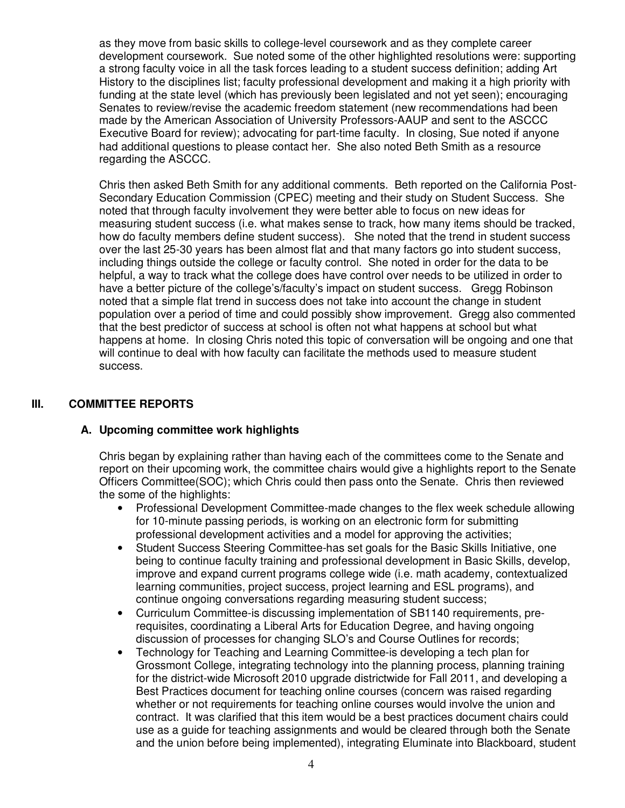as they move from basic skills to college-level coursework and as they complete career development coursework. Sue noted some of the other highlighted resolutions were: supporting a strong faculty voice in all the task forces leading to a student success definition; adding Art History to the disciplines list; faculty professional development and making it a high priority with funding at the state level (which has previously been legislated and not yet seen); encouraging Senates to review/revise the academic freedom statement (new recommendations had been made by the American Association of University Professors-AAUP and sent to the ASCCC Executive Board for review); advocating for part-time faculty. In closing, Sue noted if anyone had additional questions to please contact her. She also noted Beth Smith as a resource regarding the ASCCC.

Chris then asked Beth Smith for any additional comments. Beth reported on the California Post-Secondary Education Commission (CPEC) meeting and their study on Student Success. She noted that through faculty involvement they were better able to focus on new ideas for measuring student success (i.e. what makes sense to track, how many items should be tracked, how do faculty members define student success). She noted that the trend in student success over the last 25-30 years has been almost flat and that many factors go into student success, including things outside the college or faculty control. She noted in order for the data to be helpful, a way to track what the college does have control over needs to be utilized in order to have a better picture of the college's/faculty's impact on student success. Gregg Robinson noted that a simple flat trend in success does not take into account the change in student population over a period of time and could possibly show improvement. Gregg also commented that the best predictor of success at school is often not what happens at school but what happens at home. In closing Chris noted this topic of conversation will be ongoing and one that will continue to deal with how faculty can facilitate the methods used to measure student success.

#### **III. COMMITTEE REPORTS**

#### **A. Upcoming committee work highlights**

Chris began by explaining rather than having each of the committees come to the Senate and report on their upcoming work, the committee chairs would give a highlights report to the Senate Officers Committee(SOC); which Chris could then pass onto the Senate. Chris then reviewed the some of the highlights:

- Professional Development Committee-made changes to the flex week schedule allowing for 10-minute passing periods, is working on an electronic form for submitting professional development activities and a model for approving the activities;
- Student Success Steering Committee-has set goals for the Basic Skills Initiative, one being to continue faculty training and professional development in Basic Skills, develop, improve and expand current programs college wide (i.e. math academy, contextualized learning communities, project success, project learning and ESL programs), and continue ongoing conversations regarding measuring student success;
- Curriculum Committee-is discussing implementation of SB1140 requirements, prerequisites, coordinating a Liberal Arts for Education Degree, and having ongoing discussion of processes for changing SLO's and Course Outlines for records;
- Technology for Teaching and Learning Committee-is developing a tech plan for Grossmont College, integrating technology into the planning process, planning training for the district-wide Microsoft 2010 upgrade districtwide for Fall 2011, and developing a Best Practices document for teaching online courses (concern was raised regarding whether or not requirements for teaching online courses would involve the union and contract. It was clarified that this item would be a best practices document chairs could use as a guide for teaching assignments and would be cleared through both the Senate and the union before being implemented), integrating Eluminate into Blackboard, student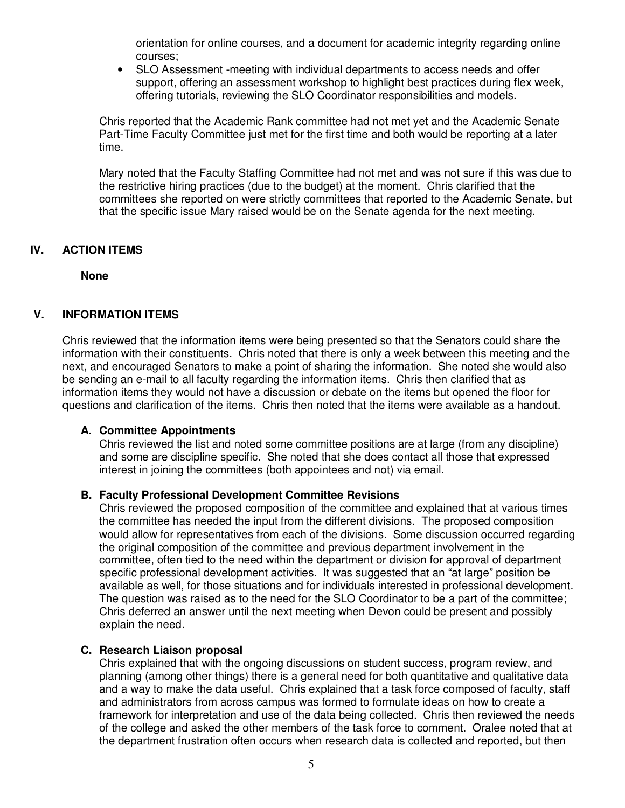orientation for online courses, and a document for academic integrity regarding online courses;

• SLO Assessment -meeting with individual departments to access needs and offer support, offering an assessment workshop to highlight best practices during flex week, offering tutorials, reviewing the SLO Coordinator responsibilities and models.

Chris reported that the Academic Rank committee had not met yet and the Academic Senate Part-Time Faculty Committee just met for the first time and both would be reporting at a later time.

Mary noted that the Faculty Staffing Committee had not met and was not sure if this was due to the restrictive hiring practices (due to the budget) at the moment. Chris clarified that the committees she reported on were strictly committees that reported to the Academic Senate, but that the specific issue Mary raised would be on the Senate agenda for the next meeting.

#### **IV. ACTION ITEMS**

**None** 

#### **V. INFORMATION ITEMS**

Chris reviewed that the information items were being presented so that the Senators could share the information with their constituents. Chris noted that there is only a week between this meeting and the next, and encouraged Senators to make a point of sharing the information. She noted she would also be sending an e-mail to all faculty regarding the information items. Chris then clarified that as information items they would not have a discussion or debate on the items but opened the floor for questions and clarification of the items. Chris then noted that the items were available as a handout.

#### **A. Committee Appointments**

Chris reviewed the list and noted some committee positions are at large (from any discipline) and some are discipline specific. She noted that she does contact all those that expressed interest in joining the committees (both appointees and not) via email.

#### **B. Faculty Professional Development Committee Revisions**

Chris reviewed the proposed composition of the committee and explained that at various times the committee has needed the input from the different divisions. The proposed composition would allow for representatives from each of the divisions. Some discussion occurred regarding the original composition of the committee and previous department involvement in the committee, often tied to the need within the department or division for approval of department specific professional development activities. It was suggested that an "at large" position be available as well, for those situations and for individuals interested in professional development. The question was raised as to the need for the SLO Coordinator to be a part of the committee; Chris deferred an answer until the next meeting when Devon could be present and possibly explain the need.

#### **C. Research Liaison proposal**

Chris explained that with the ongoing discussions on student success, program review, and planning (among other things) there is a general need for both quantitative and qualitative data and a way to make the data useful. Chris explained that a task force composed of faculty, staff and administrators from across campus was formed to formulate ideas on how to create a framework for interpretation and use of the data being collected. Chris then reviewed the needs of the college and asked the other members of the task force to comment. Oralee noted that at the department frustration often occurs when research data is collected and reported, but then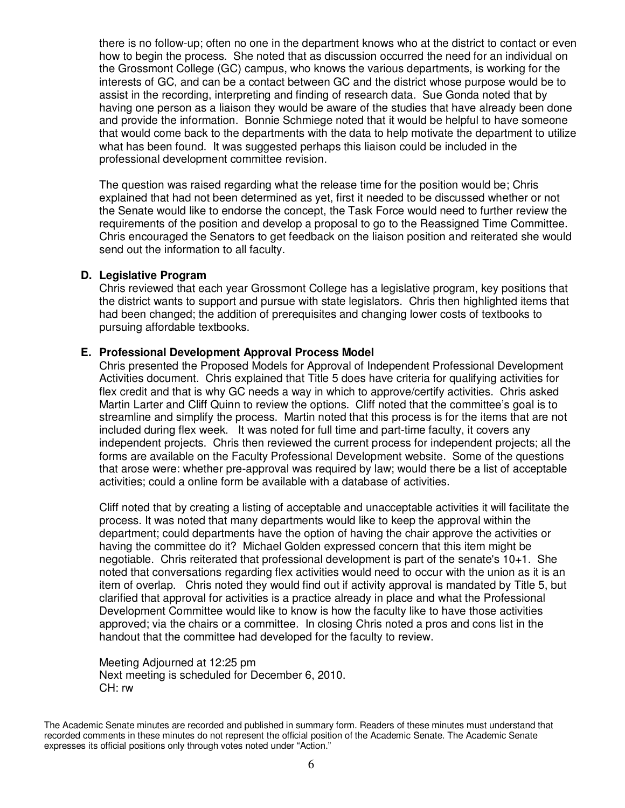there is no follow-up; often no one in the department knows who at the district to contact or even how to begin the process. She noted that as discussion occurred the need for an individual on the Grossmont College (GC) campus, who knows the various departments, is working for the interests of GC, and can be a contact between GC and the district whose purpose would be to assist in the recording, interpreting and finding of research data. Sue Gonda noted that by having one person as a liaison they would be aware of the studies that have already been done and provide the information. Bonnie Schmiege noted that it would be helpful to have someone that would come back to the departments with the data to help motivate the department to utilize what has been found. It was suggested perhaps this liaison could be included in the professional development committee revision.

The question was raised regarding what the release time for the position would be; Chris explained that had not been determined as yet, first it needed to be discussed whether or not the Senate would like to endorse the concept, the Task Force would need to further review the requirements of the position and develop a proposal to go to the Reassigned Time Committee. Chris encouraged the Senators to get feedback on the liaison position and reiterated she would send out the information to all faculty.

#### **D. Legislative Program**

Chris reviewed that each year Grossmont College has a legislative program, key positions that the district wants to support and pursue with state legislators. Chris then highlighted items that had been changed; the addition of prerequisites and changing lower costs of textbooks to pursuing affordable textbooks.

#### **E. Professional Development Approval Process Model**

Chris presented the Proposed Models for Approval of Independent Professional Development Activities document. Chris explained that Title 5 does have criteria for qualifying activities for flex credit and that is why GC needs a way in which to approve/certify activities. Chris asked Martin Larter and Cliff Quinn to review the options. Cliff noted that the committee's goal is to streamline and simplify the process. Martin noted that this process is for the items that are not included during flex week. It was noted for full time and part-time faculty, it covers any independent projects. Chris then reviewed the current process for independent projects; all the forms are available on the Faculty Professional Development website. Some of the questions that arose were: whether pre-approval was required by law; would there be a list of acceptable activities; could a online form be available with a database of activities.

Cliff noted that by creating a listing of acceptable and unacceptable activities it will facilitate the process. It was noted that many departments would like to keep the approval within the department; could departments have the option of having the chair approve the activities or having the committee do it? Michael Golden expressed concern that this item might be negotiable. Chris reiterated that professional development is part of the senate's 10+1. She noted that conversations regarding flex activities would need to occur with the union as it is an item of overlap. Chris noted they would find out if activity approval is mandated by Title 5, but clarified that approval for activities is a practice already in place and what the Professional Development Committee would like to know is how the faculty like to have those activities approved; via the chairs or a committee. In closing Chris noted a pros and cons list in the handout that the committee had developed for the faculty to review.

Meeting Adjourned at 12:25 pm Next meeting is scheduled for December 6, 2010. CH: rw

The Academic Senate minutes are recorded and published in summary form. Readers of these minutes must understand that recorded comments in these minutes do not represent the official position of the Academic Senate. The Academic Senate expresses its official positions only through votes noted under "Action."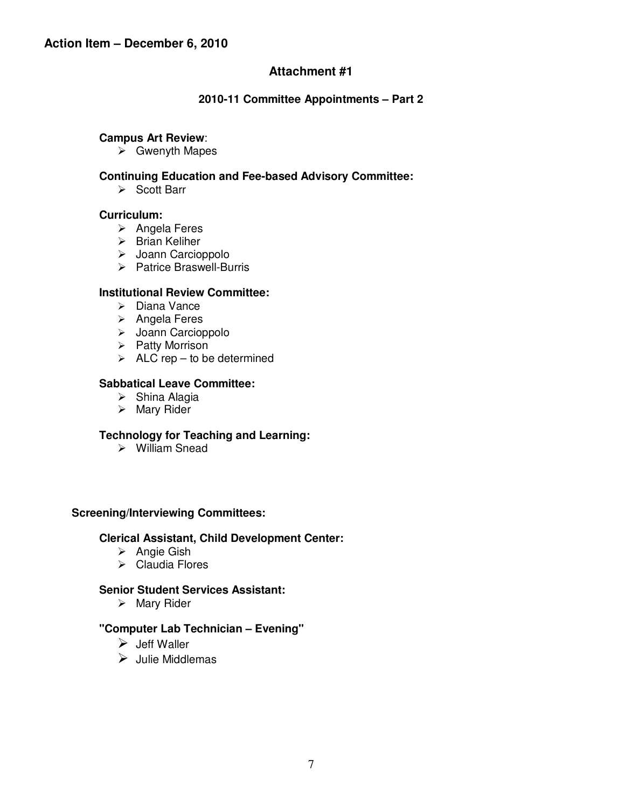#### **2010-11 Committee Appointments – Part 2**

#### **Campus Art Review**:

 $\triangleright$  Gwenyth Mapes

#### **Continuing Education and Fee-based Advisory Committee:**

 $\triangleright$  Scott Barr

#### **Curriculum:**

- $\triangleright$  Angela Feres
- $\triangleright$  Brian Keliher
- > Joann Carcioppolo
- $\triangleright$  Patrice Braswell-Burris

#### **Institutional Review Committee:**

- $\triangleright$  Diana Vance
- $\triangleright$  Angela Feres
- > Joann Carcioppolo
- $\triangleright$  Patty Morrison
- $\triangleright$  ALC rep to be determined

#### **Sabbatical Leave Committee:**

- $\triangleright$  Shina Alagia
- > Mary Rider

#### **Technology for Teaching and Learning:**

William Snead

#### **Screening/Interviewing Committees:**

#### **Clerical Assistant, Child Development Center:**

- $\triangleright$  Angie Gish
- $\triangleright$  Claudia Flores

#### **Senior Student Services Assistant:**

 $\triangleright$  Mary Rider

#### **"Computer Lab Technician – Evening"**

- $\triangleright$  Jeff Waller
- $\triangleright$  Julie Middlemas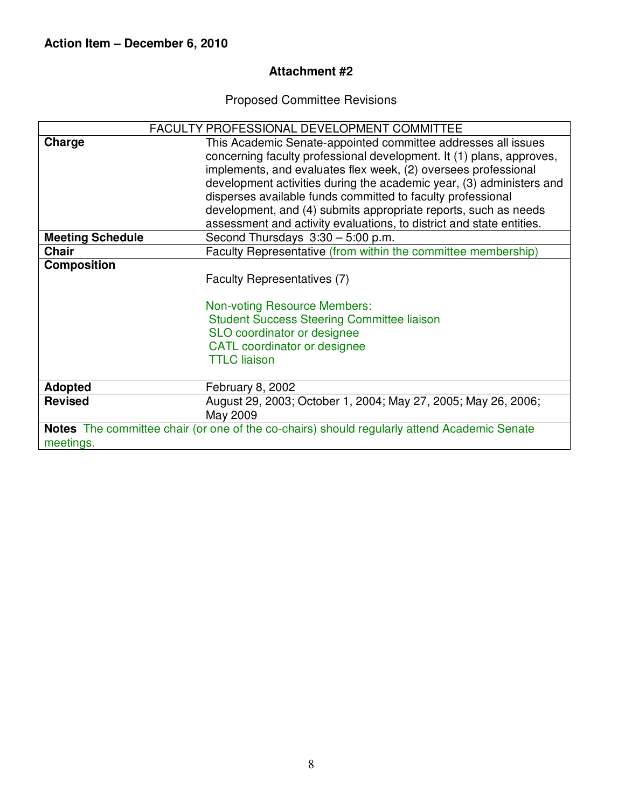Proposed Committee Revisions

|                                                                                             | <b>FACULTY PROFESSIONAL DEVELOPMENT COMMITTEE</b>                         |  |  |  |  |
|---------------------------------------------------------------------------------------------|---------------------------------------------------------------------------|--|--|--|--|
| Charge                                                                                      | This Academic Senate-appointed committee addresses all issues             |  |  |  |  |
|                                                                                             | concerning faculty professional development. It (1) plans, approves,      |  |  |  |  |
|                                                                                             | implements, and evaluates flex week, (2) oversees professional            |  |  |  |  |
|                                                                                             | development activities during the academic year, (3) administers and      |  |  |  |  |
|                                                                                             | disperses available funds committed to faculty professional               |  |  |  |  |
|                                                                                             | development, and (4) submits appropriate reports, such as needs           |  |  |  |  |
|                                                                                             | assessment and activity evaluations, to district and state entities.      |  |  |  |  |
| <b>Meeting Schedule</b>                                                                     | Second Thursdays $3:30 - 5:00$ p.m.                                       |  |  |  |  |
| <b>Chair</b>                                                                                | Faculty Representative (from within the committee membership)             |  |  |  |  |
| <b>Composition</b>                                                                          |                                                                           |  |  |  |  |
|                                                                                             | Faculty Representatives (7)                                               |  |  |  |  |
|                                                                                             | <b>Non-voting Resource Members:</b>                                       |  |  |  |  |
|                                                                                             | <b>Student Success Steering Committee liaison</b>                         |  |  |  |  |
|                                                                                             | SLO coordinator or designee                                               |  |  |  |  |
|                                                                                             | CATL coordinator or designee                                              |  |  |  |  |
|                                                                                             | <b>TTLC</b> liaison                                                       |  |  |  |  |
| <b>Adopted</b>                                                                              | February 8, 2002                                                          |  |  |  |  |
| <b>Revised</b>                                                                              | August 29, 2003; October 1, 2004; May 27, 2005; May 26, 2006;<br>May 2009 |  |  |  |  |
| Notes The committee chair (or one of the co-chairs) should regularly attend Academic Senate |                                                                           |  |  |  |  |
| meetings.                                                                                   |                                                                           |  |  |  |  |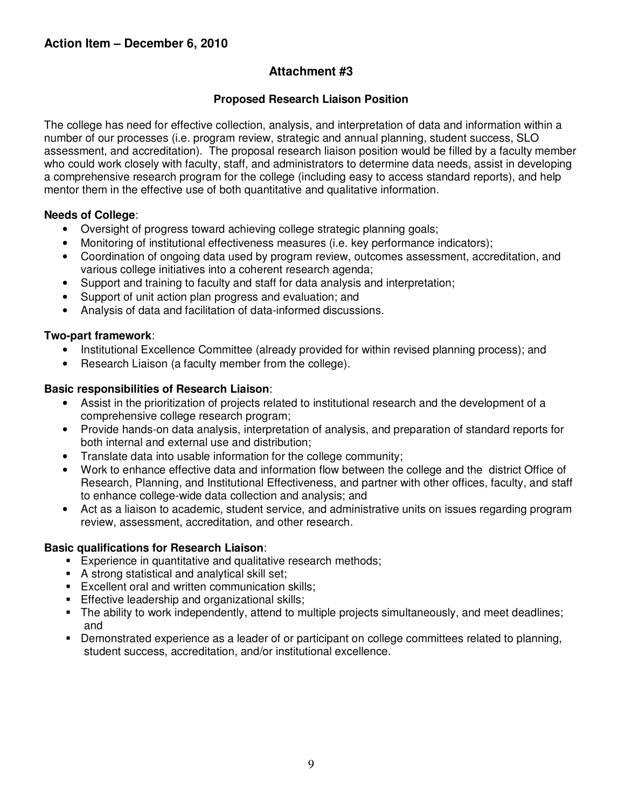#### **Proposed Research Liaison Position**

The college has need for effective collection, analysis, and interpretation of data and information within a number of our processes (i.e. program review, strategic and annual planning, student success, SLO assessment, and accreditation). The proposal research liaison position would be filled by a faculty member who could work closely with faculty, staff, and administrators to determine data needs, assist in developing a comprehensive research program for the college (including easy to access standard reports), and help mentor them in the effective use of both quantitative and qualitative information.

#### **Needs of College**:

- Oversight of progress toward achieving college strategic planning goals;
- Monitoring of institutional effectiveness measures (i.e. key performance indicators);
- Coordination of ongoing data used by program review, outcomes assessment, accreditation, and various college initiatives into a coherent research agenda;
- Support and training to faculty and staff for data analysis and interpretation;
- Support of unit action plan progress and evaluation; and
- Analysis of data and facilitation of data-informed discussions.

#### **Two-part framework**:

- Institutional Excellence Committee (already provided for within revised planning process); and
- Research Liaison (a faculty member from the college).

#### **Basic responsibilities of Research Liaison**:

- Assist in the prioritization of projects related to institutional research and the development of a comprehensive college research program;
- Provide hands-on data analysis, interpretation of analysis, and preparation of standard reports for both internal and external use and distribution;
- Translate data into usable information for the college community;
- Work to enhance effective data and information flow between the college and the district Office of Research, Planning, and Institutional Effectiveness, and partner with other offices, faculty, and staff to enhance college-wide data collection and analysis; and
- Act as a liaison to academic, student service, and administrative units on issues regarding program review, assessment, accreditation, and other research.

#### **Basic qualifications for Research Liaison**:

- **Experience in quantitative and qualitative research methods;**
- A strong statistical and analytical skill set;
- **Excellent oral and written communication skills;**
- **Effective leadership and organizational skills;**
- The ability to work independently, attend to multiple projects simultaneously, and meet deadlines; and
- Demonstrated experience as a leader of or participant on college committees related to planning, student success, accreditation, and/or institutional excellence.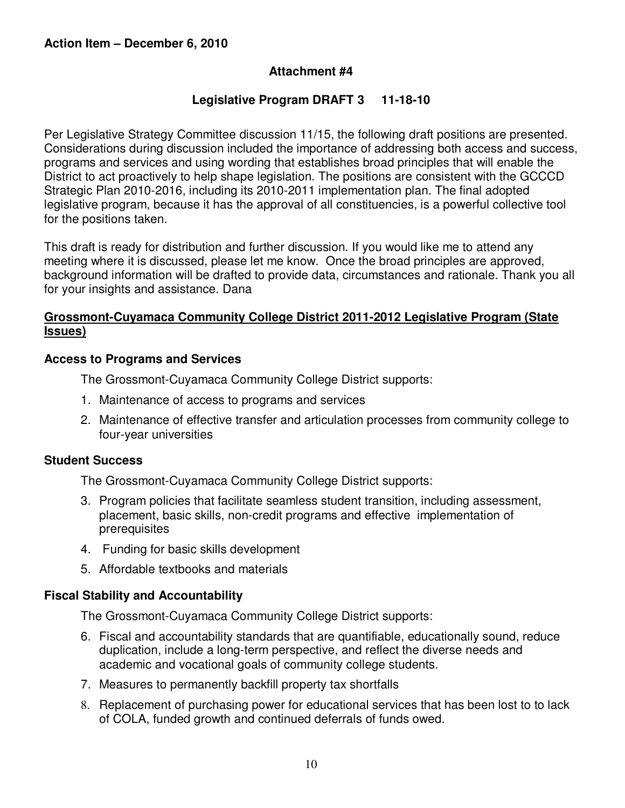#### **Legislative Program DRAFT 3 11-18-10**

Per Legislative Strategy Committee discussion 11/15, the following draft positions are presented. Considerations during discussion included the importance of addressing both access and success, programs and services and using wording that establishes broad principles that will enable the District to act proactively to help shape legislation. The positions are consistent with the GCCCD Strategic Plan 2010-2016, including its 2010-2011 implementation plan. The final adopted legislative program, because it has the approval of all constituencies, is a powerful collective tool for the positions taken.

This draft is ready for distribution and further discussion. If you would like me to attend any meeting where it is discussed, please let me know. Once the broad principles are approved, background information will be drafted to provide data, circumstances and rationale. Thank you all for your insights and assistance. Dana

#### **Grossmont-Cuyamaca Community College District 2011-2012 Legislative Program (State Issues)**

#### **Access to Programs and Services**

The Grossmont-Cuyamaca Community College District supports:

- 1. Maintenance of access to programs and services
- 2. Maintenance of effective transfer and articulation processes from community college to four-year universities

#### **Student Success**

The Grossmont-Cuyamaca Community College District supports:

- 3. Program policies that facilitate seamless student transition, including assessment, placement, basic skills, non-credit programs and effective implementation of prerequisites
- 4. Funding for basic skills development
- 5. Affordable textbooks and materials

#### **Fiscal Stability and Accountability**

The Grossmont-Cuyamaca Community College District supports:

- 6. Fiscal and accountability standards that are quantifiable, educationally sound, reduce duplication, include a long-term perspective, and reflect the diverse needs and academic and vocational goals of community college students.
- 7. Measures to permanently backfill property tax shortfalls
- 8. Replacement of purchasing power for educational services that has been lost to to lack of COLA, funded growth and continued deferrals of funds owed.